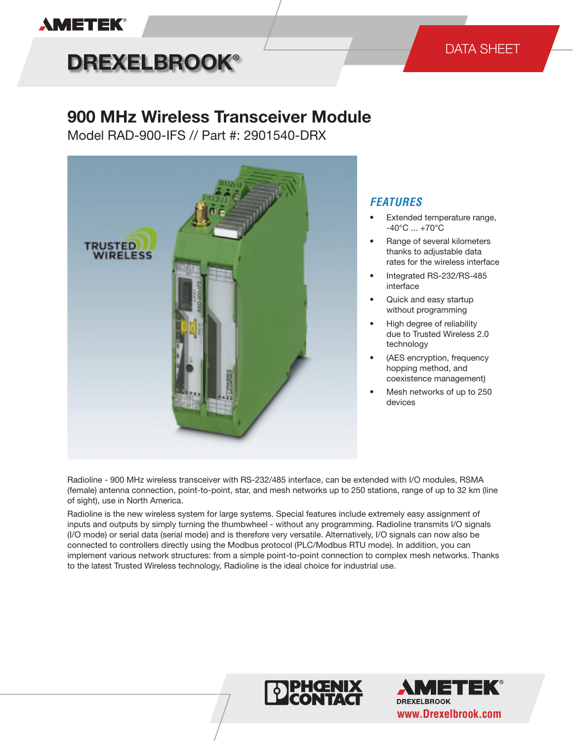### **AMETEK®**

# **DREXELBROOK®**

### **900 MHz Wireless Transceiver Module**

Model RAD-900-IFS // Part #: 2901540-DRX



#### *FEATURES*

- Extended temperature range, -40°C ... +70°C
- Range of several kilometers thanks to adjustable data rates for the wireless interface
- Integrated RS-232/RS-485 interface
- Quick and easy startup without programming
- High degree of reliability due to Trusted Wireless 2.0 technology
- (AES encryption, frequency hopping method, and coexistence management)
- Mesh networks of up to 250 devices

Radioline - 900 MHz wireless transceiver with RS-232/485 interface, can be extended with I/O modules, RSMA (female) antenna connection, point-to-point, star, and mesh networks up to 250 stations, range of up to 32 km (line of sight), use in North America.

Radioline is the new wireless system for large systems. Special features include extremely easy assignment of inputs and outputs by simply turning the thumbwheel - without any programming. Radioline transmits I/O signals (I/O mode) or serial data (serial mode) and is therefore very versatile. Alternatively, I/O signals can now also be connected to controllers directly using the Modbus protocol (PLC/Modbus RTU mode). In addition, you can implement various network structures: from a simple point-to-point connection to complex mesh networks. Thanks to the latest Trusted Wireless technology, Radioline is the ideal choice for industrial use.





DATA SHEET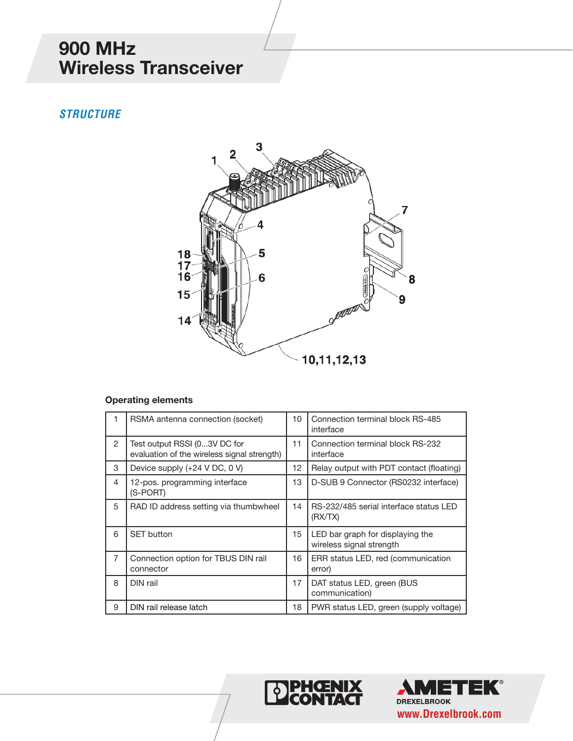#### *STRUCTURE*



#### **Operating elements**

|                | RSMA antenna connection (socket)                                            | 10 | Connection terminal block RS-485<br>interface                |
|----------------|-----------------------------------------------------------------------------|----|--------------------------------------------------------------|
| $\mathcal{P}$  | Test output RSSI (03V DC for<br>evaluation of the wireless signal strength) | 11 | Connection terminal block RS-232<br>interface                |
| 3              | Device supply $(+24 \text{ V DC}, 0 \text{ V})$                             | 12 | Relay output with PDT contact (floating)                     |
| 4              | 12-pos. programming interface<br>(S-PORT)                                   | 13 | D-SUB 9 Connector (RS0232 interface)                         |
| 5              | RAD ID address setting via thumbwheel                                       | 14 | RS-232/485 serial interface status LED<br>(RX/TX)            |
| 6              | <b>SET button</b>                                                           | 15 | LED bar graph for displaying the<br>wireless signal strength |
| $\overline{7}$ | Connection option for TBUS DIN rail<br>connector                            | 16 | ERR status LED, red (communication<br>error)                 |
| 8              | DIN rail                                                                    | 17 | DAT status LED, green (BUS<br>communication)                 |
| 9              | DIN rail release latch                                                      | 18 | PWR status LED, green (supply voltage)                       |



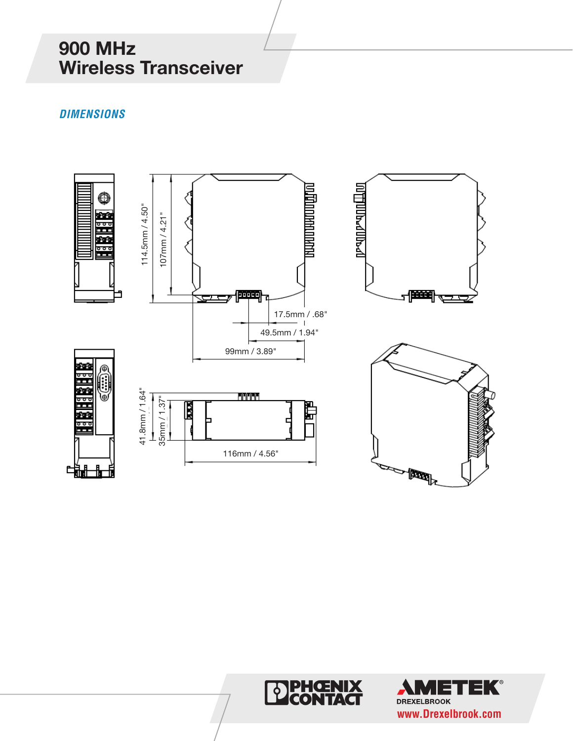### *DIMENSIONS*





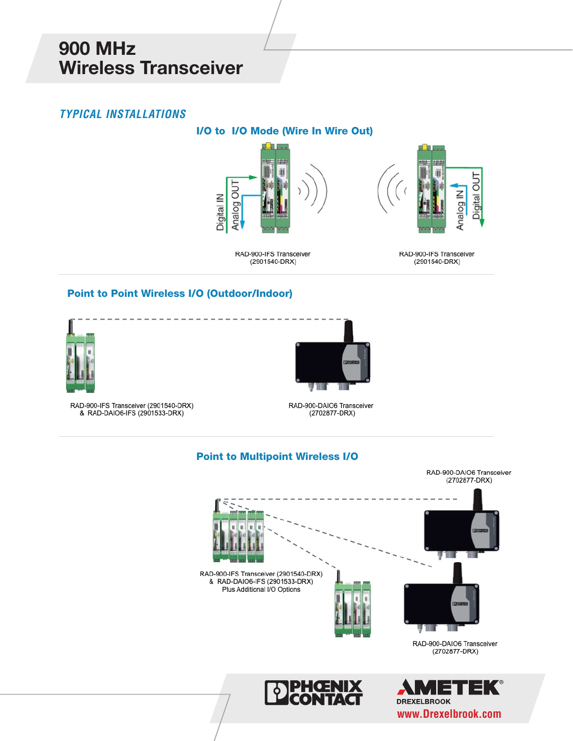#### *TYPICAL INSTALLATIONS*



Point to Point Wireless I/O (Outdoor/Indoor)



RAD-900-IFS Transceiver (2901540-DRX) & RAD-DAIO6-IFS (2901533-DRX)



RAD-900-DAIO6 Transceiver (2702877-DRX)

#### Point to Multipoint Wireless I/O



**DREXELBROOK www.Drexelbrook.com**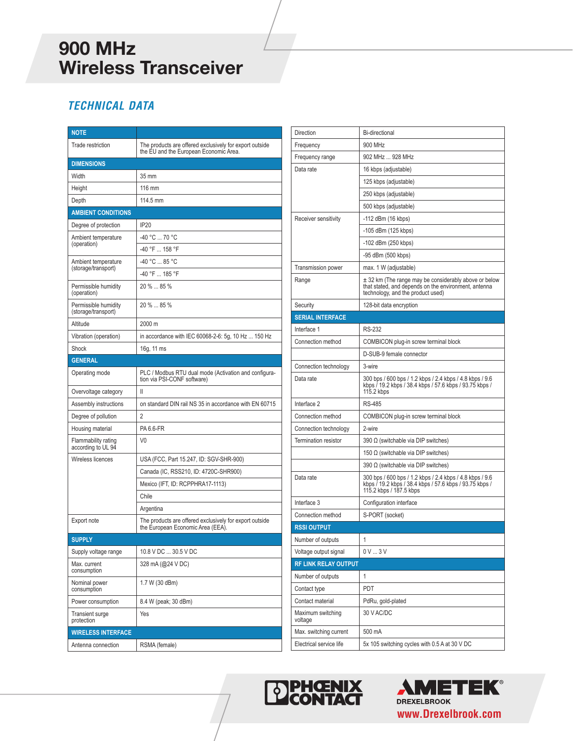### *TECHNICAL DATA*

| <b>NOTE</b>                                 |                                                                                                   |  |  |  |  |
|---------------------------------------------|---------------------------------------------------------------------------------------------------|--|--|--|--|
| Trade restriction                           | The products are offered exclusively for export outside<br>the EU and the European Economic Area. |  |  |  |  |
| <b>DIMENSIONS</b>                           |                                                                                                   |  |  |  |  |
| Width                                       | 35 mm                                                                                             |  |  |  |  |
| Height                                      | 116 mm                                                                                            |  |  |  |  |
| Depth                                       | 114.5 mm                                                                                          |  |  |  |  |
| <b>AMBIENT CONDITIONS</b>                   |                                                                                                   |  |  |  |  |
| Degree of protection                        | <b>IP20</b>                                                                                       |  |  |  |  |
| Ambient temperature                         | -40 °C  70 °C                                                                                     |  |  |  |  |
| (operation)                                 | -40 °F  158 °F                                                                                    |  |  |  |  |
| Ambient temperature                         | -40 °C  85 °C                                                                                     |  |  |  |  |
| (storage/transport)                         | -40 °F  185 °F                                                                                    |  |  |  |  |
| Permissible humidity<br>(operation)         | 20 %  85 %                                                                                        |  |  |  |  |
| Permissible humidity<br>(storage/transport) | 20 %  85 %                                                                                        |  |  |  |  |
| Altitude                                    | 2000 m                                                                                            |  |  |  |  |
| Vibration (operation)                       | in accordance with IEC 60068-2-6: 5g, 10 Hz  150 Hz                                               |  |  |  |  |
| Shock                                       | 16g, 11 ms                                                                                        |  |  |  |  |
| <b>GENERAL</b>                              |                                                                                                   |  |  |  |  |
| Operating mode                              | PLC / Modbus RTU dual mode (Activation and configura-<br>tion via PSI-CONF software)              |  |  |  |  |
| Overvoltage category                        | Ш                                                                                                 |  |  |  |  |
| Assembly instructions                       | on standard DIN rail NS 35 in accordance with EN 60715                                            |  |  |  |  |
| Degree of pollution                         | $\overline{2}$                                                                                    |  |  |  |  |
| Housing material                            | PA 6.6-FR                                                                                         |  |  |  |  |
| Flammability rating<br>according to UL 94   | V <sub>0</sub>                                                                                    |  |  |  |  |
| Wireless licences                           | USA (FCC, Part 15.247, ID: SGV-SHR-900)                                                           |  |  |  |  |
|                                             | Canada (IC, RSS210, ID: 4720C-SHR900)                                                             |  |  |  |  |
|                                             | Mexico (IFT, ID: RCPPHRA17-1113)                                                                  |  |  |  |  |
|                                             | Chile                                                                                             |  |  |  |  |
|                                             | Argentina                                                                                         |  |  |  |  |
| Export note                                 | The products are offered exclusively for export outside<br>the European Economic Area (EEA).      |  |  |  |  |
| <b>SUPPLY</b>                               |                                                                                                   |  |  |  |  |
| Supply voltage range                        | 10.8 V DC  30.5 V DC                                                                              |  |  |  |  |
| Max. current<br>consumption                 | 328 mA (@24 V DC)                                                                                 |  |  |  |  |
| Nominal power<br>consumption                | 1.7 W (30 dBm)                                                                                    |  |  |  |  |
| Power consumption                           | 8.4 W (peak; 30 dBm)                                                                              |  |  |  |  |
| <b>Transient surge</b><br>protection        | Yes                                                                                               |  |  |  |  |
| <b>WIRELESS INTERFACE</b>                   |                                                                                                   |  |  |  |  |
| Antenna connection                          | RSMA (female)                                                                                     |  |  |  |  |

| <b>Direction</b>             | Bi-directional                                                                                                                                     |
|------------------------------|----------------------------------------------------------------------------------------------------------------------------------------------------|
| Frequency                    | 900 MHz                                                                                                                                            |
| Frequency range              | 902 MHz  928 MHz                                                                                                                                   |
| Data rate                    | 16 kbps (adjustable)                                                                                                                               |
|                              | 125 kbps (adjustable)                                                                                                                              |
|                              | 250 kbps (adjustable)                                                                                                                              |
|                              | 500 kbps (adjustable)                                                                                                                              |
| Receiver sensitivity         | -112 dBm (16 kbps)                                                                                                                                 |
|                              | -105 dBm (125 kbps)                                                                                                                                |
|                              | -102 dBm (250 kbps)                                                                                                                                |
|                              | -95 dBm (500 kbps)                                                                                                                                 |
| Transmission power           | max. 1 W (adjustable)                                                                                                                              |
| Range                        | ± 32 km (The range may be considerably above or below<br>that stated, and depends on the environment, antenna<br>technology, and the product used) |
| Security                     | 128-bit data encryption                                                                                                                            |
| <b>SERIAL INTERFACE</b>      |                                                                                                                                                    |
| Interface 1                  | <b>RS-232</b>                                                                                                                                      |
| Connection method            | COMBICON plug-in screw terminal block                                                                                                              |
|                              | D-SUB-9 female connector                                                                                                                           |
| Connection technology        | 3-wire                                                                                                                                             |
| Data rate                    | 300 bps / 600 bps / 1.2 kbps / 2.4 kbps / 4.8 kbps / 9.6<br>kbps / 19.2 kbps / 38.4 kbps / 57.6 kbps / 93.75 kbps /<br>115.2 kbps                  |
| Interface 2                  | <b>RS-485</b>                                                                                                                                      |
| Connection method            | COMBICON plug-in screw terminal block                                                                                                              |
| Connection technology        | 2-wire                                                                                                                                             |
| <b>Termination resistor</b>  | 390 $\Omega$ (switchable via DIP switches)                                                                                                         |
|                              | 150 $\Omega$ (switchable via DIP switches)                                                                                                         |
|                              | 390 $\Omega$ (switchable via DIP switches)                                                                                                         |
| Data rate                    | 300 bps / 600 bps / 1.2 kbps / 2.4 kbps / 4.8 kbps / 9.6<br>kbps / 19.2 kbps / 38.4 kbps / 57.6 kbps / 93.75 kbps /<br>115.2 kbps / 187.5 kbps     |
| Interface 3                  | Configuration interface                                                                                                                            |
| Connection method            | S-PORT (socket)                                                                                                                                    |
| <b>RSSI OUTPUT</b>           |                                                                                                                                                    |
| Number of outputs            | 1                                                                                                                                                  |
| Voltage output signal        | 0 V  3 V                                                                                                                                           |
| <b>RF LINK RELAY OUTPUT</b>  |                                                                                                                                                    |
| Number of outputs            | 1                                                                                                                                                  |
| Contact type                 | PDT                                                                                                                                                |
| Contact material             | PdRu, gold-plated                                                                                                                                  |
| Maximum switching<br>voltage | 30 V AC/DC                                                                                                                                         |
| Max. switching current       | 500 mA                                                                                                                                             |
| Electrical service life      | 5x 105 switching cycles with 0.5 A at 30 V DC                                                                                                      |